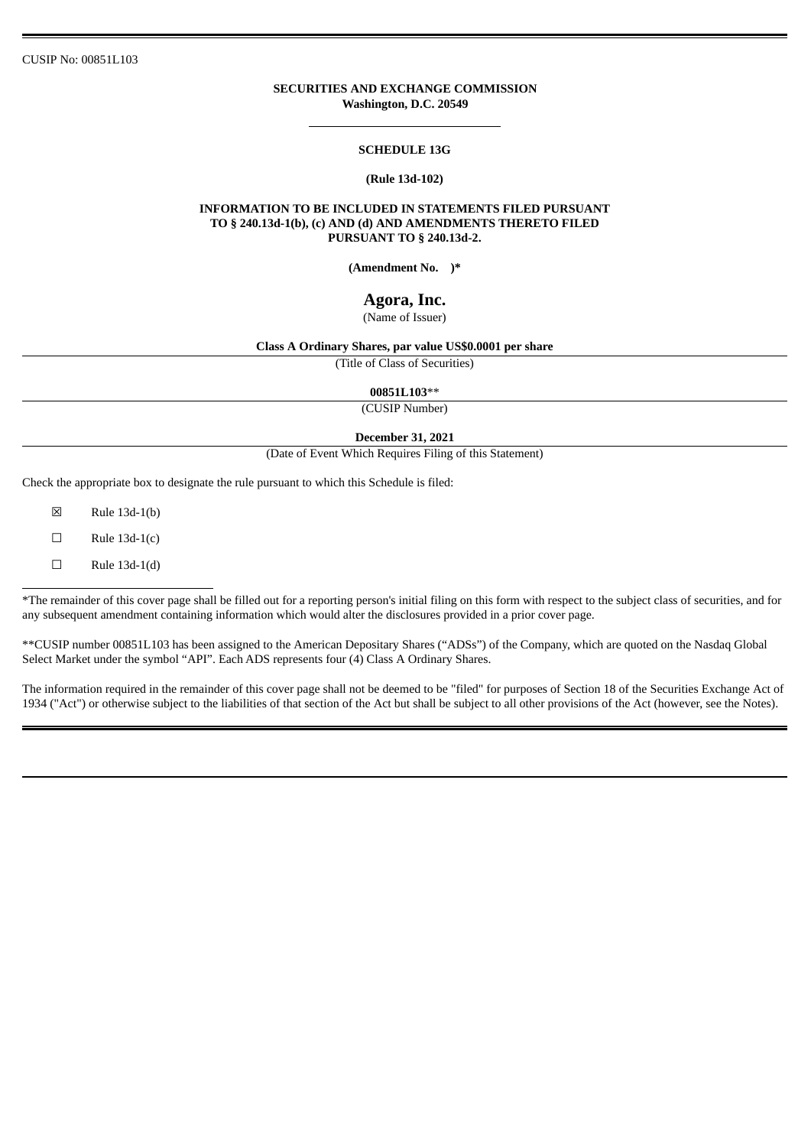## **SECURITIES AND EXCHANGE COMMISSION Washington, D.C. 20549**

### **SCHEDULE 13G**

#### **(Rule 13d-102)**

### **INFORMATION TO BE INCLUDED IN STATEMENTS FILED PURSUANT TO § 240.13d-1(b), (c) AND (d) AND AMENDMENTS THERETO FILED PURSUANT TO § 240.13d-2.**

**(Amendment No. )\***

# **Agora, Inc.**

(Name of Issuer)

# **Class A Ordinary Shares, par value US\$0.0001 per share**

(Title of Class of Securities)

**00851L103**\*\*

(CUSIP Number)

#### **December 31, 2021**

(Date of Event Which Requires Filing of this Statement)

Check the appropriate box to designate the rule pursuant to which this Schedule is filed:

☒ Rule 13d-1(b)

 $\square$  Rule 13d-1(c)

 $\Box$  Rule 13d-1(d)

\*The remainder of this cover page shall be filled out for a reporting person's initial filing on this form with respect to the subject class of securities, and for any subsequent amendment containing information which would alter the disclosures provided in a prior cover page.

\*\*CUSIP number 00851L103 has been assigned to the American Depositary Shares ("ADSs") of the Company, which are quoted on the Nasdaq Global Select Market under the symbol "API". Each ADS represents four (4) Class A Ordinary Shares.

The information required in the remainder of this cover page shall not be deemed to be "filed" for purposes of Section 18 of the Securities Exchange Act of 1934 ("Act") or otherwise subject to the liabilities of that section of the Act but shall be subject to all other provisions of the Act (however, see the Notes).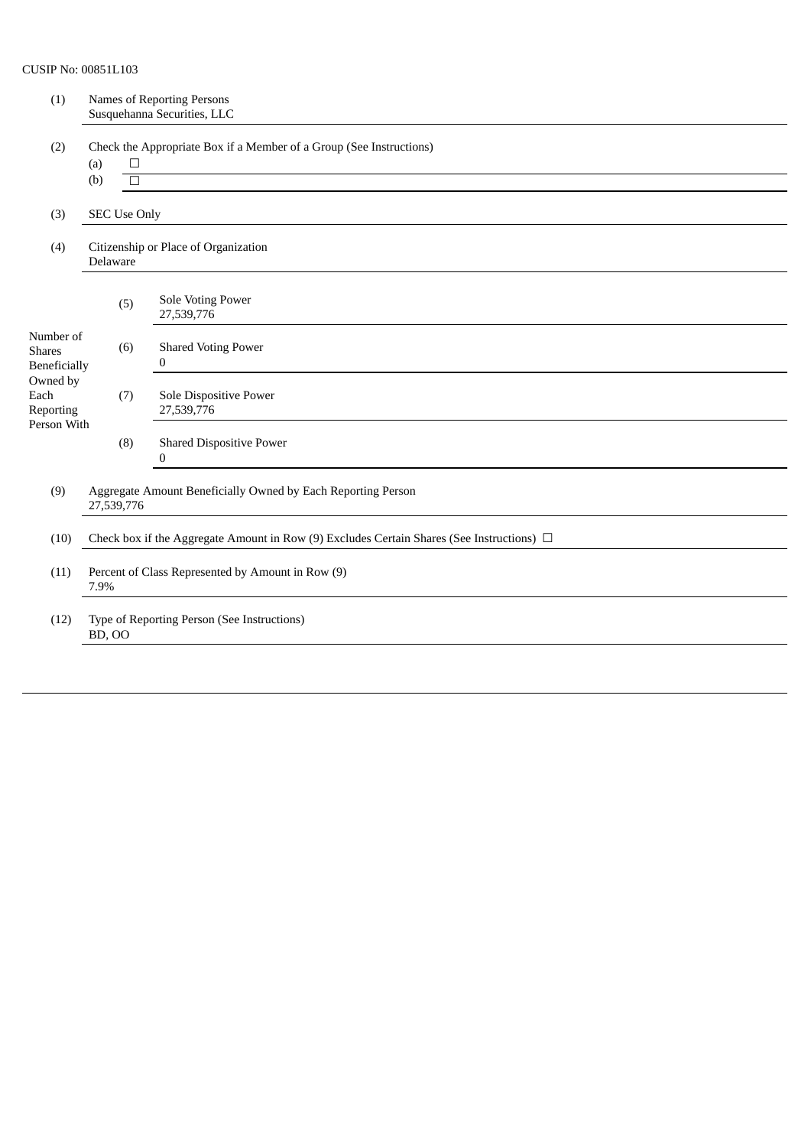| (1)                                                                         | Names of Reporting Persons<br>Susquehanna Securities, LLC                                      |                                                                     |  |
|-----------------------------------------------------------------------------|------------------------------------------------------------------------------------------------|---------------------------------------------------------------------|--|
| (2)                                                                         | $\Box$<br>(a)                                                                                  | Check the Appropriate Box if a Member of a Group (See Instructions) |  |
|                                                                             | (b)<br>$\Box$                                                                                  |                                                                     |  |
| (3)                                                                         |                                                                                                | <b>SEC Use Only</b>                                                 |  |
| (4)                                                                         | Delaware                                                                                       | Citizenship or Place of Organization                                |  |
|                                                                             | (5)                                                                                            | Sole Voting Power<br>27,539,776                                     |  |
| Number of<br><b>Shares</b><br>Beneficially<br>Owned by<br>Each<br>Reporting | (6)                                                                                            | <b>Shared Voting Power</b><br>0                                     |  |
|                                                                             | (7)                                                                                            | Sole Dispositive Power<br>27,539,776                                |  |
| Person With                                                                 | (8)                                                                                            | <b>Shared Dispositive Power</b><br>$\mathbf{0}$                     |  |
| (9)                                                                         | Aggregate Amount Beneficially Owned by Each Reporting Person<br>27,539,776                     |                                                                     |  |
| (10)                                                                        | Check box if the Aggregate Amount in Row (9) Excludes Certain Shares (See Instructions) $\Box$ |                                                                     |  |
| (11)                                                                        | Percent of Class Represented by Amount in Row (9)<br>7.9%                                      |                                                                     |  |
| (12)                                                                        | Type of Reporting Person (See Instructions)<br><b>BD, OO</b>                                   |                                                                     |  |
|                                                                             |                                                                                                |                                                                     |  |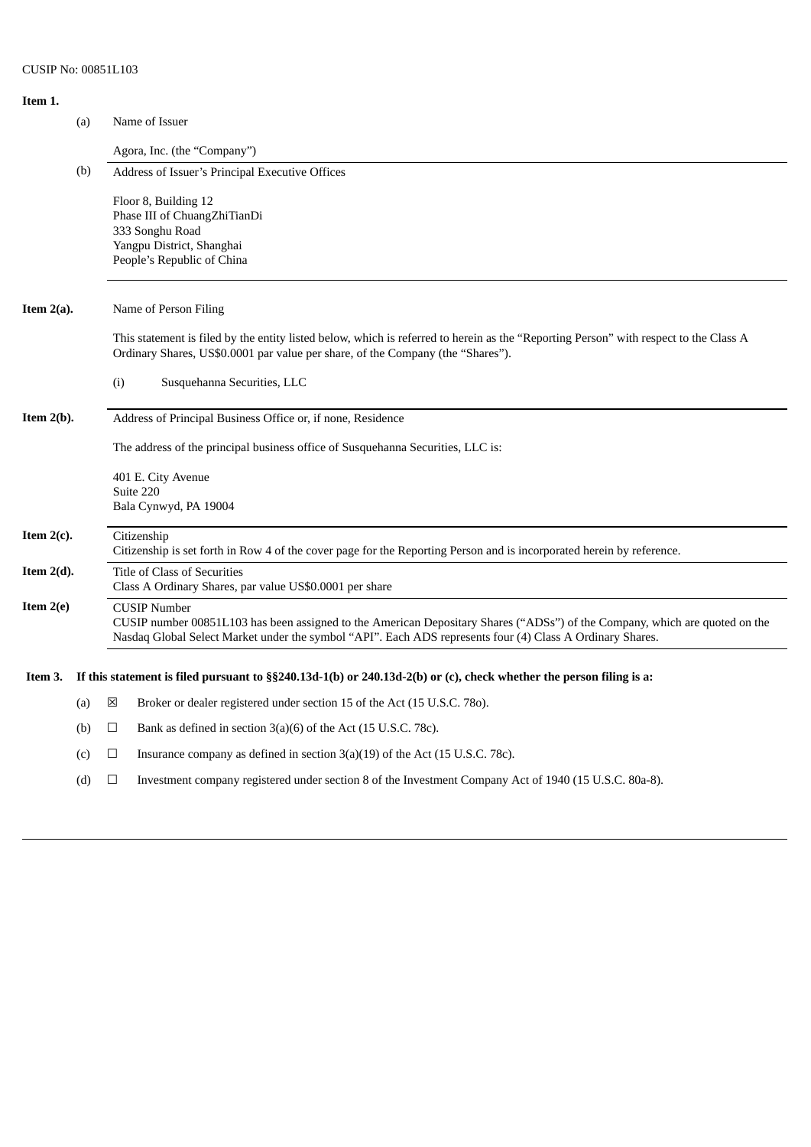# **Item 1.** (a) Name of Issuer Agora, Inc. (the "Company") (b) Address of Issuer's Principal Executive Offices Floor 8, Building 12 Phase III of ChuangZhiTianDi 333 Songhu Road Yangpu District, Shanghai People's Republic of China **Item 2(a).** Name of Person Filing This statement is filed by the entity listed below, which is referred to herein as the "Reporting Person" with respect to the Class A Ordinary Shares, US\$0.0001 par value per share, of the Company (the "Shares"). (i) Susquehanna Securities, LLC **Item 2(b).** Address of Principal Business Office or, if none, Residence The address of the principal business office of Susquehanna Securities, LLC is: 401 E. City Avenue Suite 220 Bala Cynwyd, PA 19004 **Item 2(c).** Citizenship Citizenship is set forth in Row 4 of the cover page for the Reporting Person and is incorporated herein by reference. **Item 2(d).** Title of Class of Securities Class A Ordinary Shares, par value US\$0.0001 per share **Item 2(e)** CUSIP Number CUSIP number 00851L103 has been assigned to the American Depositary Shares ("ADSs") of the Company, which are quoted on the Nasdaq Global Select Market under the symbol "API". Each ADS represents four (4) Class A Ordinary Shares. Item 3. If this statement is filed pursuant to §§240.13d-1(b) or 240.13d-2(b) or (c), check whether the person filing is a: (a)  $\boxtimes$  Broker or dealer registered under section 15 of the Act (15 U.S.C. 780). (b)  $\Box$  Bank as defined in section 3(a)(6) of the Act (15 U.S.C. 78c). (c)  $\Box$  Insurance company as defined in section 3(a)(19) of the Act (15 U.S.C. 78c). (d) ☐ Investment company registered under section 8 of the Investment Company Act of 1940 (15 U.S.C. 80a-8).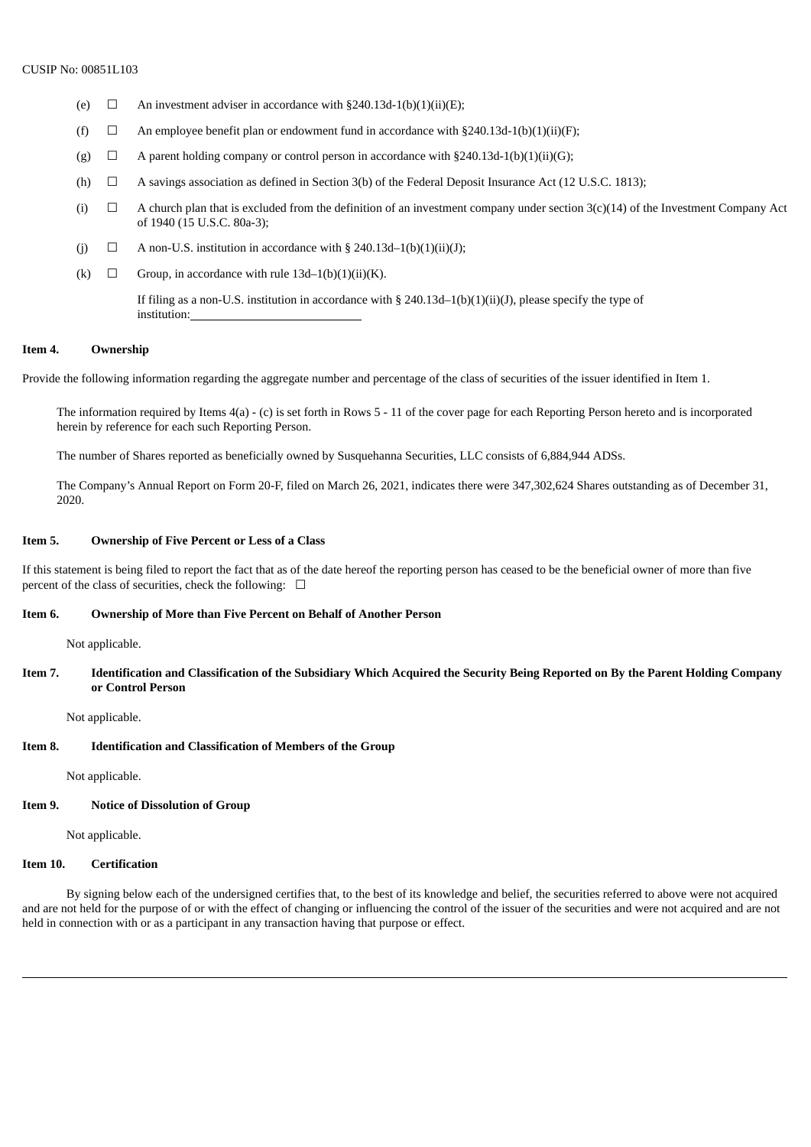- (e)  $\Box$  An investment adviser in accordance with §240.13d-1(b)(1)(ii)(E);
- (f)  $\Box$  An employee benefit plan or endowment fund in accordance with §240.13d-1(b)(1)(ii)(F);
- (g)  $\Box$  A parent holding company or control person in accordance with §240.13d-1(b)(1)(ii)(G);
- (h)  $\Box$  A savings association as defined in Section 3(b) of the Federal Deposit Insurance Act (12 U.S.C. 1813);
- (i)  $\Box$  A church plan that is excluded from the definition of an investment company under section 3(c)(14) of the Investment Company Act of 1940 (15 U.S.C. 80a-3);
- (i)  $\Box$  A non-U.S. institution in accordance with § 240.13d–1(b)(1)(ii)(J);
- (k)  $\Box$  Group, in accordance with rule 13d–1(b)(1)(ii)(K).

If filing as a non-U.S. institution in accordance with § 240.13d–1(b)(1)(ii)(J), please specify the type of institution:

# **Item 4. Ownership**

Provide the following information regarding the aggregate number and percentage of the class of securities of the issuer identified in Item 1.

The information required by Items 4(a) - (c) is set forth in Rows 5 - 11 of the cover page for each Reporting Person hereto and is incorporated herein by reference for each such Reporting Person.

The number of Shares reported as beneficially owned by Susquehanna Securities, LLC consists of 6,884,944 ADSs.

The Company's Annual Report on Form 20-F, filed on March 26, 2021, indicates there were 347,302,624 Shares outstanding as of December 31, 2020.

#### **Item 5. Ownership of Five Percent or Less of a Class**

If this statement is being filed to report the fact that as of the date hereof the reporting person has ceased to be the beneficial owner of more than five percent of the class of securities, check the following:  $\Box$ 

#### **Item 6. Ownership of More than Five Percent on Behalf of Another Person**

Not applicable.

## Item 7. Identification and Classification of the Subsidiary Which Acquired the Security Being Reported on By the Parent Holding Company **or Control Person**

Not applicable.

## **Item 8. Identification and Classification of Members of the Group**

Not applicable.

#### **Item 9. Notice of Dissolution of Group**

Not applicable.

#### **Item 10. Certification**

By signing below each of the undersigned certifies that, to the best of its knowledge and belief, the securities referred to above were not acquired and are not held for the purpose of or with the effect of changing or influencing the control of the issuer of the securities and were not acquired and are not held in connection with or as a participant in any transaction having that purpose or effect.